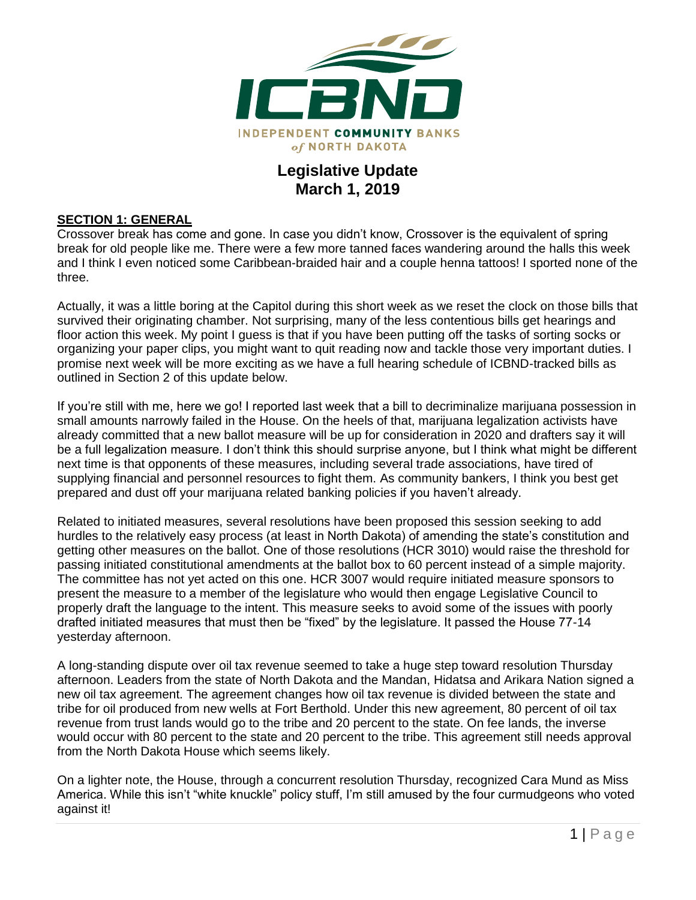

## **Legislative Update March 1, 2019**

#### **SECTION 1: GENERAL**

Crossover break has come and gone. In case you didn't know, Crossover is the equivalent of spring break for old people like me. There were a few more tanned faces wandering around the halls this week and I think I even noticed some Caribbean-braided hair and a couple henna tattoos! I sported none of the three.

Actually, it was a little boring at the Capitol during this short week as we reset the clock on those bills that survived their originating chamber. Not surprising, many of the less contentious bills get hearings and floor action this week. My point I guess is that if you have been putting off the tasks of sorting socks or organizing your paper clips, you might want to quit reading now and tackle those very important duties. I promise next week will be more exciting as we have a full hearing schedule of ICBND-tracked bills as outlined in Section 2 of this update below.

If you're still with me, here we go! I reported last week that a bill to decriminalize marijuana possession in small amounts narrowly failed in the House. On the heels of that, marijuana legalization activists have already committed that a new ballot measure will be up for consideration in 2020 and drafters say it will be a full legalization measure. I don't think this should surprise anyone, but I think what might be different next time is that opponents of these measures, including several trade associations, have tired of supplying financial and personnel resources to fight them. As community bankers, I think you best get prepared and dust off your marijuana related banking policies if you haven't already.

Related to initiated measures, several resolutions have been proposed this session seeking to add hurdles to the relatively easy process (at least in North Dakota) of amending the state's constitution and getting other measures on the ballot. One of those resolutions (HCR 3010) would raise the threshold for passing initiated constitutional amendments at the ballot box to 60 percent instead of a simple majority. The committee has not yet acted on this one. HCR 3007 would require initiated measure sponsors to present the measure to a member of the legislature who would then engage Legislative Council to properly draft the language to the intent. This measure seeks to avoid some of the issues with poorly drafted initiated measures that must then be "fixed" by the legislature. It passed the House 77-14 yesterday afternoon.

A long-standing dispute over oil tax revenue seemed to take a huge step toward resolution Thursday afternoon. Leaders from the state of North Dakota and the Mandan, Hidatsa and Arikara Nation signed a new oil tax agreement. The agreement changes how oil tax revenue is divided between the state and tribe for oil produced from new wells at Fort Berthold. Under this new agreement, 80 percent of oil tax revenue from trust lands would go to the tribe and 20 percent to the state. On fee lands, the inverse would occur with 80 percent to the state and 20 percent to the tribe. This agreement still needs approval from the North Dakota House which seems likely.

On a lighter note, the House, through a concurrent resolution Thursday, recognized Cara Mund as Miss America. While this isn't "white knuckle" policy stuff, I'm still amused by the four curmudgeons who voted against it!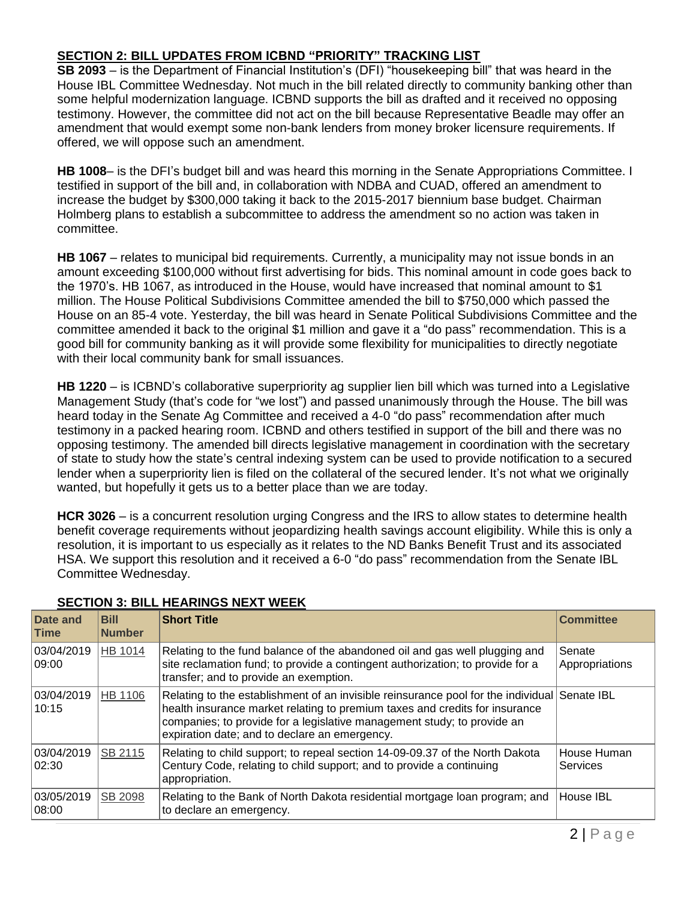### **SECTION 2: BILL UPDATES FROM ICBND "PRIORITY" TRACKING LIST**

**SB 2093** – is the Department of Financial Institution's (DFI) "housekeeping bill" that was heard in the House IBL Committee Wednesday. Not much in the bill related directly to community banking other than some helpful modernization language. ICBND supports the bill as drafted and it received no opposing testimony. However, the committee did not act on the bill because Representative Beadle may offer an amendment that would exempt some non-bank lenders from money broker licensure requirements. If offered, we will oppose such an amendment.

**HB 1008**– is the DFI's budget bill and was heard this morning in the Senate Appropriations Committee. I testified in support of the bill and, in collaboration with NDBA and CUAD, offered an amendment to increase the budget by \$300,000 taking it back to the 2015-2017 biennium base budget. Chairman Holmberg plans to establish a subcommittee to address the amendment so no action was taken in committee.

**HB 1067** – relates to municipal bid requirements. Currently, a municipality may not issue bonds in an amount exceeding \$100,000 without first advertising for bids. This nominal amount in code goes back to the 1970's. HB 1067, as introduced in the House, would have increased that nominal amount to \$1 million. The House Political Subdivisions Committee amended the bill to \$750,000 which passed the House on an 85-4 vote. Yesterday, the bill was heard in Senate Political Subdivisions Committee and the committee amended it back to the original \$1 million and gave it a "do pass" recommendation. This is a good bill for community banking as it will provide some flexibility for municipalities to directly negotiate with their local community bank for small issuances.

**HB 1220** – is ICBND's collaborative superpriority ag supplier lien bill which was turned into a Legislative Management Study (that's code for "we lost") and passed unanimously through the House. The bill was heard today in the Senate Ag Committee and received a 4-0 "do pass" recommendation after much testimony in a packed hearing room. ICBND and others testified in support of the bill and there was no opposing testimony. The amended bill directs legislative management in coordination with the secretary of state to study how the state's central indexing system can be used to provide notification to a secured lender when a superpriority lien is filed on the collateral of the secured lender. It's not what we originally wanted, but hopefully it gets us to a better place than we are today.

**HCR 3026** – is a concurrent resolution urging Congress and the IRS to allow states to determine health benefit coverage requirements without jeopardizing health savings account eligibility. While this is only a resolution, it is important to us especially as it relates to the ND Banks Benefit Trust and its associated HSA. We support this resolution and it received a 6-0 "do pass" recommendation from the Senate IBL Committee Wednesday.

| Date and<br><b>Time</b> | <b>Bill</b><br><b>Number</b> | <b>Short Title</b>                                                                                                                                                                                                                                                                                      | <b>Committee</b>         |
|-------------------------|------------------------------|---------------------------------------------------------------------------------------------------------------------------------------------------------------------------------------------------------------------------------------------------------------------------------------------------------|--------------------------|
| 03/04/2019<br>09:00     | HB 1014                      | Relating to the fund balance of the abandoned oil and gas well plugging and<br>site reclamation fund; to provide a contingent authorization; to provide for a<br>transfer; and to provide an exemption.                                                                                                 | Senate<br>Appropriations |
| 03/04/2019<br>10:15     | HB 1106                      | Relating to the establishment of an invisible reinsurance pool for the individual Senate IBL<br>health insurance market relating to premium taxes and credits for insurance<br>companies; to provide for a legislative management study; to provide an<br>expiration date; and to declare an emergency. |                          |
| 03/04/2019<br>02:30     | <b>SB 2115</b>               | Relating to child support; to repeal section 14-09-09.37 of the North Dakota<br>Century Code, relating to child support; and to provide a continuing<br>appropriation.                                                                                                                                  | House Human<br>Services  |
| 03/05/2019<br>08:00     | <b>SB 2098</b>               | Relating to the Bank of North Dakota residential mortgage loan program; and<br>to declare an emergency.                                                                                                                                                                                                 | House IBL                |

#### **SECTION 3: BILL HEARINGS NEXT WEEK**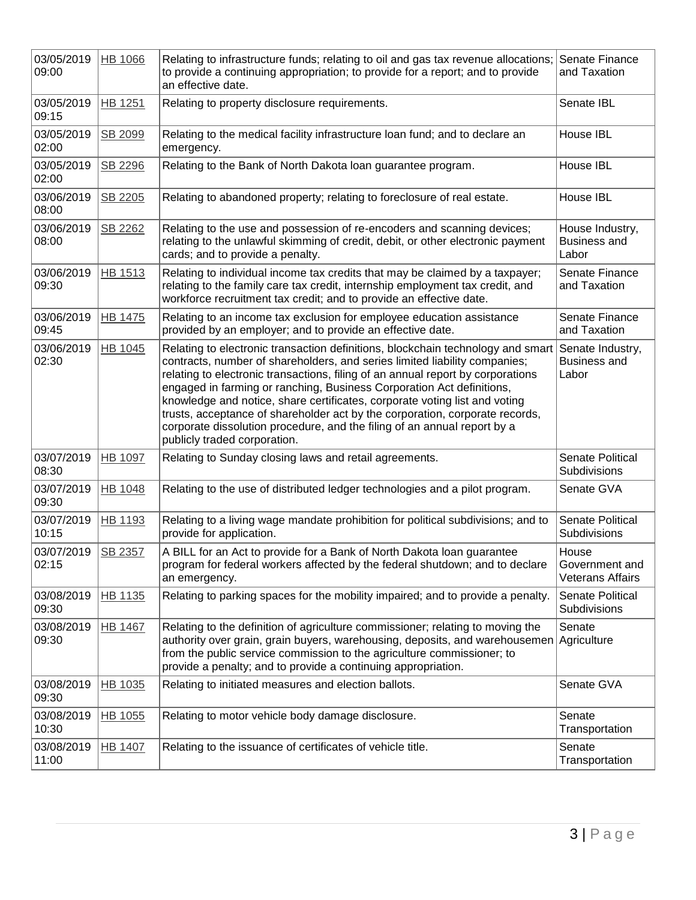| 03/05/2019<br>09:00 | <b>HB 1066</b> | Relating to infrastructure funds; relating to oil and gas tax revenue allocations; Senate Finance<br>to provide a continuing appropriation; to provide for a report; and to provide<br>an effective date.                                                                                                                                                                                                                                                                                                                                                                                           | and Taxation                                       |
|---------------------|----------------|-----------------------------------------------------------------------------------------------------------------------------------------------------------------------------------------------------------------------------------------------------------------------------------------------------------------------------------------------------------------------------------------------------------------------------------------------------------------------------------------------------------------------------------------------------------------------------------------------------|----------------------------------------------------|
| 03/05/2019<br>09:15 | <b>HB 1251</b> | Relating to property disclosure requirements.                                                                                                                                                                                                                                                                                                                                                                                                                                                                                                                                                       | Senate IBL                                         |
| 03/05/2019<br>02:00 | SB 2099        | Relating to the medical facility infrastructure loan fund; and to declare an<br>emergency.                                                                                                                                                                                                                                                                                                                                                                                                                                                                                                          | House IBL                                          |
| 03/05/2019<br>02:00 | SB 2296        | Relating to the Bank of North Dakota loan guarantee program.                                                                                                                                                                                                                                                                                                                                                                                                                                                                                                                                        | House IBL                                          |
| 03/06/2019<br>08:00 | SB 2205        | Relating to abandoned property; relating to foreclosure of real estate.                                                                                                                                                                                                                                                                                                                                                                                                                                                                                                                             | House IBL                                          |
| 03/06/2019<br>08:00 | SB 2262        | Relating to the use and possession of re-encoders and scanning devices;<br>relating to the unlawful skimming of credit, debit, or other electronic payment<br>cards; and to provide a penalty.                                                                                                                                                                                                                                                                                                                                                                                                      | House Industry,<br><b>Business and</b><br>Labor    |
| 03/06/2019<br>09:30 | <b>HB 1513</b> | Relating to individual income tax credits that may be claimed by a taxpayer;<br>relating to the family care tax credit, internship employment tax credit, and<br>workforce recruitment tax credit; and to provide an effective date.                                                                                                                                                                                                                                                                                                                                                                | Senate Finance<br>and Taxation                     |
| 03/06/2019<br>09:45 | <b>HB 1475</b> | Relating to an income tax exclusion for employee education assistance<br>provided by an employer; and to provide an effective date.                                                                                                                                                                                                                                                                                                                                                                                                                                                                 | Senate Finance<br>and Taxation                     |
| 03/06/2019<br>02:30 | HB 1045        | Relating to electronic transaction definitions, blockchain technology and smart<br>contracts, number of shareholders, and series limited liability companies;<br>relating to electronic transactions, filing of an annual report by corporations<br>engaged in farming or ranching, Business Corporation Act definitions,<br>knowledge and notice, share certificates, corporate voting list and voting<br>trusts, acceptance of shareholder act by the corporation, corporate records,<br>corporate dissolution procedure, and the filing of an annual report by a<br>publicly traded corporation. | Senate Industry,<br><b>Business and</b><br>Labor   |
| 03/07/2019<br>08:30 | HB 1097        | Relating to Sunday closing laws and retail agreements.                                                                                                                                                                                                                                                                                                                                                                                                                                                                                                                                              | <b>Senate Political</b><br>Subdivisions            |
| 03/07/2019<br>09:30 | <b>HB 1048</b> | Relating to the use of distributed ledger technologies and a pilot program.                                                                                                                                                                                                                                                                                                                                                                                                                                                                                                                         | Senate GVA                                         |
| 03/07/2019<br>10:15 | <b>HB 1193</b> | Relating to a living wage mandate prohibition for political subdivisions; and to<br>provide for application.                                                                                                                                                                                                                                                                                                                                                                                                                                                                                        | Senate Political<br>Subdivisions                   |
| 03/07/2019<br>02:15 | SB 2357        | A BILL for an Act to provide for a Bank of North Dakota loan guarantee<br>program for federal workers affected by the federal shutdown; and to declare<br>an emergency.                                                                                                                                                                                                                                                                                                                                                                                                                             | House<br>Government and<br><b>Veterans Affairs</b> |
| 03/08/2019<br>09:30 | HB 1135        | Relating to parking spaces for the mobility impaired; and to provide a penalty.                                                                                                                                                                                                                                                                                                                                                                                                                                                                                                                     | Senate Political<br><b>Subdivisions</b>            |
| 03/08/2019<br>09:30 | <b>HB 1467</b> | Relating to the definition of agriculture commissioner; relating to moving the<br>authority over grain, grain buyers, warehousing, deposits, and warehousemen Agriculture<br>from the public service commission to the agriculture commissioner; to<br>provide a penalty; and to provide a continuing appropriation.                                                                                                                                                                                                                                                                                | Senate                                             |
| 03/08/2019<br>09:30 | HB 1035        | Relating to initiated measures and election ballots.                                                                                                                                                                                                                                                                                                                                                                                                                                                                                                                                                | Senate GVA                                         |
| 03/08/2019<br>10:30 | HB 1055        | Relating to motor vehicle body damage disclosure.                                                                                                                                                                                                                                                                                                                                                                                                                                                                                                                                                   | Senate<br>Transportation                           |
| 03/08/2019<br>11:00 | <b>HB 1407</b> | Relating to the issuance of certificates of vehicle title.                                                                                                                                                                                                                                                                                                                                                                                                                                                                                                                                          | Senate<br>Transportation                           |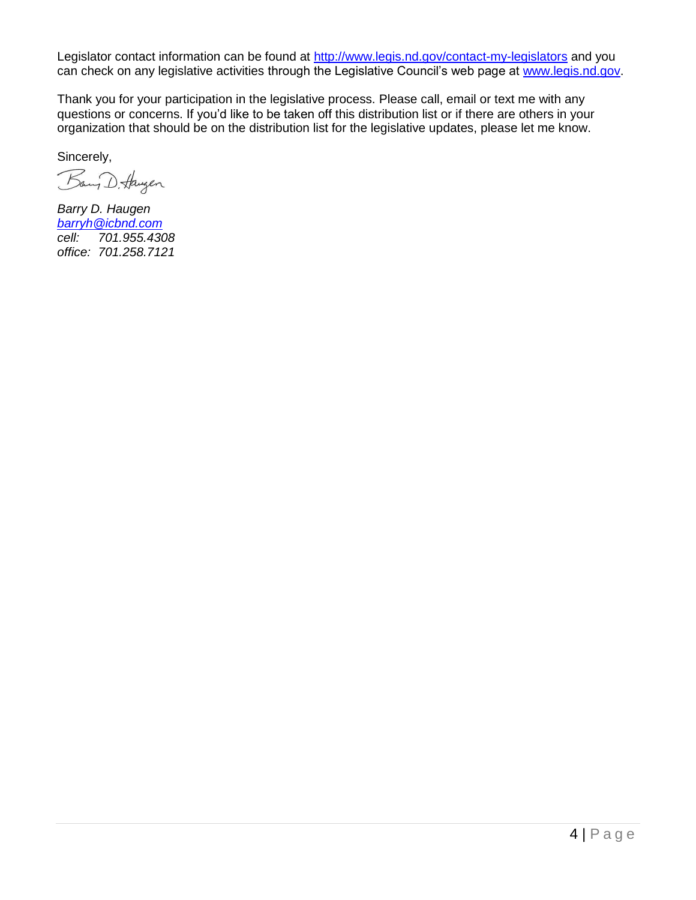Legislator contact information can be found at<http://www.legis.nd.gov/contact-my-legislators> and you can check on any legislative activities through the Legislative Council's web page at [www.legis.nd.gov.](http://www.legis.nd.gov/)

Thank you for your participation in the legislative process. Please call, email or text me with any questions or concerns. If you'd like to be taken off this distribution list or if there are others in your organization that should be on the distribution list for the legislative updates, please let me know.

Sincerely,

Bany D. Haugen

*Barry D. Haugen [barryh@icbnd.com](mailto:barryh@icbnd.com) cell: 701.955.4308 office: 701.258.7121*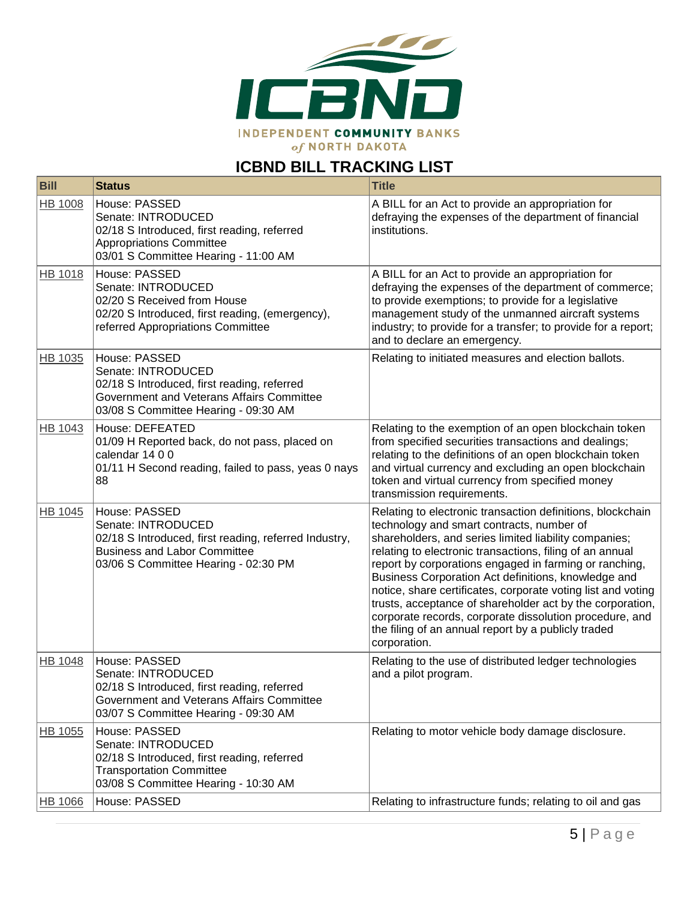

# **ICBND BILL TRACKING LIST**

| <b>Bill</b>    | <b>Status</b>                                                                                                                                                               | <b>Title</b>                                                                                                                                                                                                                                                                                                                                                                                                                                                                                                                                                                                                 |
|----------------|-----------------------------------------------------------------------------------------------------------------------------------------------------------------------------|--------------------------------------------------------------------------------------------------------------------------------------------------------------------------------------------------------------------------------------------------------------------------------------------------------------------------------------------------------------------------------------------------------------------------------------------------------------------------------------------------------------------------------------------------------------------------------------------------------------|
| HB 1008        | House: PASSED<br>Senate: INTRODUCED<br>02/18 S Introduced, first reading, referred<br><b>Appropriations Committee</b><br>03/01 S Committee Hearing - 11:00 AM               | A BILL for an Act to provide an appropriation for<br>defraying the expenses of the department of financial<br>institutions.                                                                                                                                                                                                                                                                                                                                                                                                                                                                                  |
| <b>HB 1018</b> | House: PASSED<br>Senate: INTRODUCED<br>02/20 S Received from House<br>02/20 S Introduced, first reading, (emergency),<br>referred Appropriations Committee                  | A BILL for an Act to provide an appropriation for<br>defraying the expenses of the department of commerce;<br>to provide exemptions; to provide for a legislative<br>management study of the unmanned aircraft systems<br>industry; to provide for a transfer; to provide for a report;<br>and to declare an emergency.                                                                                                                                                                                                                                                                                      |
| HB 1035        | House: PASSED<br>Senate: INTRODUCED<br>02/18 S Introduced, first reading, referred<br>Government and Veterans Affairs Committee<br>03/08 S Committee Hearing - 09:30 AM     | Relating to initiated measures and election ballots.                                                                                                                                                                                                                                                                                                                                                                                                                                                                                                                                                         |
| HB 1043        | House: DEFEATED<br>01/09 H Reported back, do not pass, placed on<br>calendar 14 0 0<br>01/11 H Second reading, failed to pass, yeas 0 nays<br>88                            | Relating to the exemption of an open blockchain token<br>from specified securities transactions and dealings;<br>relating to the definitions of an open blockchain token<br>and virtual currency and excluding an open blockchain<br>token and virtual currency from specified money<br>transmission requirements.                                                                                                                                                                                                                                                                                           |
| HB 1045        | House: PASSED<br>Senate: INTRODUCED<br>02/18 S Introduced, first reading, referred Industry,<br><b>Business and Labor Committee</b><br>03/06 S Committee Hearing - 02:30 PM | Relating to electronic transaction definitions, blockchain<br>technology and smart contracts, number of<br>shareholders, and series limited liability companies;<br>relating to electronic transactions, filing of an annual<br>report by corporations engaged in farming or ranching,<br>Business Corporation Act definitions, knowledge and<br>notice, share certificates, corporate voting list and voting<br>trusts, acceptance of shareholder act by the corporation,<br>corporate records, corporate dissolution procedure, and<br>the filing of an annual report by a publicly traded<br>corporation. |
| HB 1048        | House: PASSED<br>Senate: INTRODUCED<br>02/18 S Introduced, first reading, referred<br>Government and Veterans Affairs Committee<br>03/07 S Committee Hearing - 09:30 AM     | Relating to the use of distributed ledger technologies<br>and a pilot program.                                                                                                                                                                                                                                                                                                                                                                                                                                                                                                                               |
| HB 1055        | House: PASSED<br>Senate: INTRODUCED<br>02/18 S Introduced, first reading, referred<br><b>Transportation Committee</b><br>03/08 S Committee Hearing - 10:30 AM               | Relating to motor vehicle body damage disclosure.                                                                                                                                                                                                                                                                                                                                                                                                                                                                                                                                                            |
| <b>HB 1066</b> | House: PASSED                                                                                                                                                               | Relating to infrastructure funds; relating to oil and gas                                                                                                                                                                                                                                                                                                                                                                                                                                                                                                                                                    |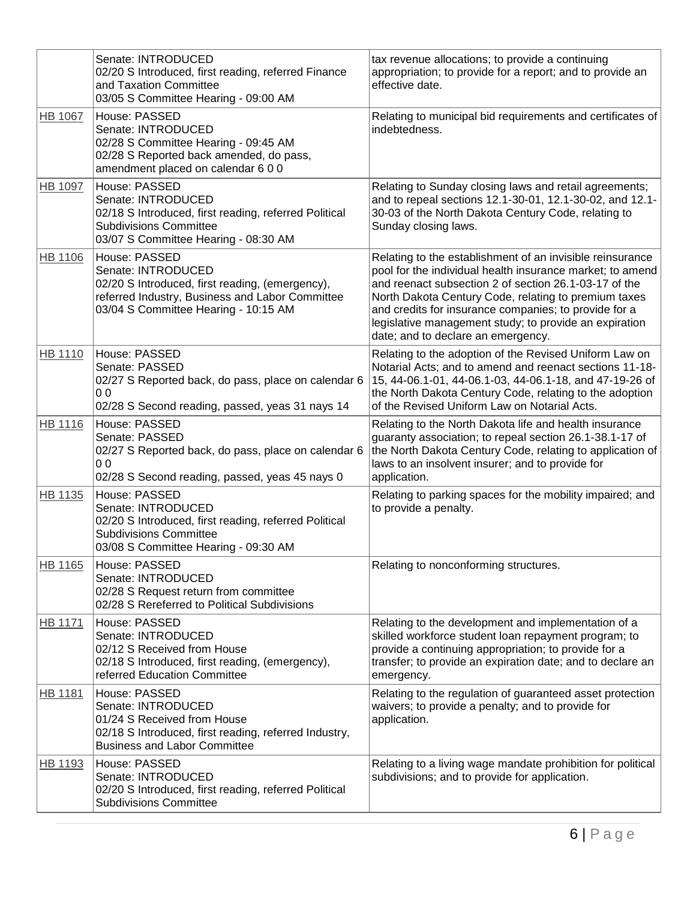|                | Senate: INTRODUCED<br>02/20 S Introduced, first reading, referred Finance<br>and Taxation Committee<br>03/05 S Committee Hearing - 09:00 AM                                       | tax revenue allocations; to provide a continuing<br>appropriation; to provide for a report; and to provide an<br>effective date.                                                                                                                                                                                                                                                                 |
|----------------|-----------------------------------------------------------------------------------------------------------------------------------------------------------------------------------|--------------------------------------------------------------------------------------------------------------------------------------------------------------------------------------------------------------------------------------------------------------------------------------------------------------------------------------------------------------------------------------------------|
| <b>HB 1067</b> | House: PASSED<br>Senate: INTRODUCED<br>02/28 S Committee Hearing - 09:45 AM<br>02/28 S Reported back amended, do pass,<br>amendment placed on calendar 6 0 0                      | Relating to municipal bid requirements and certificates of<br>indebtedness.                                                                                                                                                                                                                                                                                                                      |
| HB 1097        | House: PASSED<br>Senate: INTRODUCED<br>02/18 S Introduced, first reading, referred Political<br><b>Subdivisions Committee</b><br>03/07 S Committee Hearing - 08:30 AM             | Relating to Sunday closing laws and retail agreements;<br>and to repeal sections 12.1-30-01, 12.1-30-02, and 12.1-<br>30-03 of the North Dakota Century Code, relating to<br>Sunday closing laws.                                                                                                                                                                                                |
| HB 1106        | House: PASSED<br>Senate: INTRODUCED<br>02/20 S Introduced, first reading, (emergency),<br>referred Industry, Business and Labor Committee<br>03/04 S Committee Hearing - 10:15 AM | Relating to the establishment of an invisible reinsurance<br>pool for the individual health insurance market; to amend<br>and reenact subsection 2 of section 26.1-03-17 of the<br>North Dakota Century Code, relating to premium taxes<br>and credits for insurance companies; to provide for a<br>legislative management study; to provide an expiration<br>date; and to declare an emergency. |
| HB 1110        | House: PASSED<br>Senate: PASSED<br>02/27 S Reported back, do pass, place on calendar 6<br>0 <sub>0</sub><br>02/28 S Second reading, passed, yeas 31 nays 14                       | Relating to the adoption of the Revised Uniform Law on<br>Notarial Acts; and to amend and reenact sections 11-18-<br>15, 44-06.1-01, 44-06.1-03, 44-06.1-18, and 47-19-26 of<br>the North Dakota Century Code, relating to the adoption<br>of the Revised Uniform Law on Notarial Acts.                                                                                                          |
| HB 1116        | House: PASSED<br>Senate: PASSED<br>02/27 S Reported back, do pass, place on calendar 6<br>0 <sub>0</sub><br>02/28 S Second reading, passed, yeas 45 nays 0                        | Relating to the North Dakota life and health insurance<br>guaranty association; to repeal section 26.1-38.1-17 of<br>the North Dakota Century Code, relating to application of<br>laws to an insolvent insurer; and to provide for<br>application.                                                                                                                                               |
| HB 1135        | House: PASSED<br>Senate: INTRODUCED<br>02/20 S Introduced, first reading, referred Political<br><b>Subdivisions Committee</b><br>03/08 S Committee Hearing - 09:30 AM             | Relating to parking spaces for the mobility impaired; and<br>to provide a penalty.                                                                                                                                                                                                                                                                                                               |
| HB 1165        | House: PASSED<br>Senate: INTRODUCED<br>02/28 S Request return from committee<br>02/28 S Rereferred to Political Subdivisions                                                      | Relating to nonconforming structures.                                                                                                                                                                                                                                                                                                                                                            |
| <b>HB 1171</b> | House: PASSED<br>Senate: INTRODUCED<br>02/12 S Received from House<br>02/18 S Introduced, first reading, (emergency),<br>referred Education Committee                             | Relating to the development and implementation of a<br>skilled workforce student loan repayment program; to<br>provide a continuing appropriation; to provide for a<br>transfer; to provide an expiration date; and to declare an<br>emergency.                                                                                                                                                  |
| HB 1181        | House: PASSED<br>Senate: INTRODUCED<br>01/24 S Received from House<br>02/18 S Introduced, first reading, referred Industry,<br><b>Business and Labor Committee</b>                | Relating to the regulation of guaranteed asset protection<br>waivers; to provide a penalty; and to provide for<br>application.                                                                                                                                                                                                                                                                   |
| HB 1193        | House: PASSED<br>Senate: INTRODUCED<br>02/20 S Introduced, first reading, referred Political<br><b>Subdivisions Committee</b>                                                     | Relating to a living wage mandate prohibition for political<br>subdivisions; and to provide for application.                                                                                                                                                                                                                                                                                     |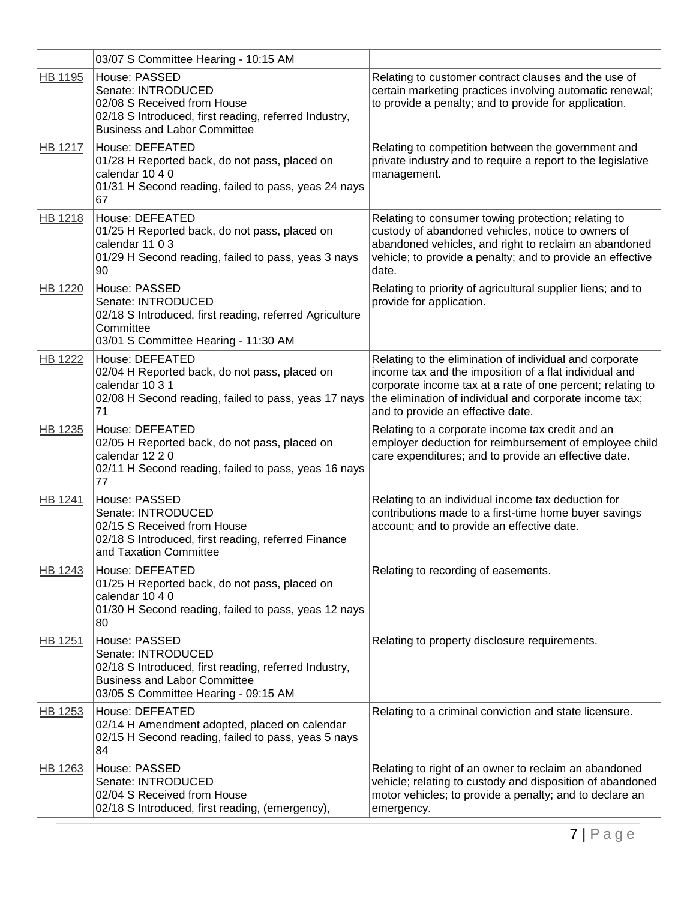|                | 03/07 S Committee Hearing - 10:15 AM                                                                                                                                        |                                                                                                                                                                                                                                                                                 |
|----------------|-----------------------------------------------------------------------------------------------------------------------------------------------------------------------------|---------------------------------------------------------------------------------------------------------------------------------------------------------------------------------------------------------------------------------------------------------------------------------|
| HB 1195        | House: PASSED<br>Senate: INTRODUCED<br>02/08 S Received from House<br>02/18 S Introduced, first reading, referred Industry,<br><b>Business and Labor Committee</b>          | Relating to customer contract clauses and the use of<br>certain marketing practices involving automatic renewal;<br>to provide a penalty; and to provide for application.                                                                                                       |
| <b>HB 1217</b> | <b>House: DEFEATED</b><br>01/28 H Reported back, do not pass, placed on<br>calendar 10 4 0<br>01/31 H Second reading, failed to pass, yeas 24 nays<br>67                    | Relating to competition between the government and<br>private industry and to require a report to the legislative<br>management.                                                                                                                                                |
| <b>HB 1218</b> | House: DEFEATED<br>01/25 H Reported back, do not pass, placed on<br>calendar 11 0 3<br>01/29 H Second reading, failed to pass, yeas 3 nays<br>90                            | Relating to consumer towing protection; relating to<br>custody of abandoned vehicles, notice to owners of<br>abandoned vehicles, and right to reclaim an abandoned<br>vehicle; to provide a penalty; and to provide an effective<br>date.                                       |
| <b>HB 1220</b> | House: PASSED<br>Senate: INTRODUCED<br>02/18 S Introduced, first reading, referred Agriculture<br>Committee<br>03/01 S Committee Hearing - 11:30 AM                         | Relating to priority of agricultural supplier liens; and to<br>provide for application.                                                                                                                                                                                         |
| <b>HB 1222</b> | House: DEFEATED<br>02/04 H Reported back, do not pass, placed on<br>calendar 10 3 1<br>02/08 H Second reading, failed to pass, yeas 17 nays<br>71                           | Relating to the elimination of individual and corporate<br>income tax and the imposition of a flat individual and<br>corporate income tax at a rate of one percent; relating to<br>the elimination of individual and corporate income tax;<br>and to provide an effective date. |
| HB 1235        | House: DEFEATED<br>02/05 H Reported back, do not pass, placed on<br>calendar 12 2 0<br>02/11 H Second reading, failed to pass, yeas 16 nays<br>77                           | Relating to a corporate income tax credit and an<br>employer deduction for reimbursement of employee child<br>care expenditures; and to provide an effective date.                                                                                                              |
| HB 1241        | House: PASSED<br>Senate: INTRODUCED<br>02/15 S Received from House<br>02/18 S Introduced, first reading, referred Finance<br>and Taxation Committee                         | Relating to an individual income tax deduction for<br>contributions made to a first-time home buyer savings<br>account; and to provide an effective date.                                                                                                                       |
| HB 1243        | House: DEFEATED<br>01/25 H Reported back, do not pass, placed on<br>calendar 10 4 0<br>01/30 H Second reading, failed to pass, yeas 12 nays<br>80                           | Relating to recording of easements.                                                                                                                                                                                                                                             |
| HB 1251        | House: PASSED<br>Senate: INTRODUCED<br>02/18 S Introduced, first reading, referred Industry,<br><b>Business and Labor Committee</b><br>03/05 S Committee Hearing - 09:15 AM | Relating to property disclosure requirements.                                                                                                                                                                                                                                   |
| HB 1253        | House: DEFEATED<br>02/14 H Amendment adopted, placed on calendar<br>02/15 H Second reading, failed to pass, yeas 5 nays<br>84                                               | Relating to a criminal conviction and state licensure.                                                                                                                                                                                                                          |
| HB 1263        | House: PASSED<br>Senate: INTRODUCED<br>02/04 S Received from House<br>02/18 S Introduced, first reading, (emergency),                                                       | Relating to right of an owner to reclaim an abandoned<br>vehicle; relating to custody and disposition of abandoned<br>motor vehicles; to provide a penalty; and to declare an<br>emergency.                                                                                     |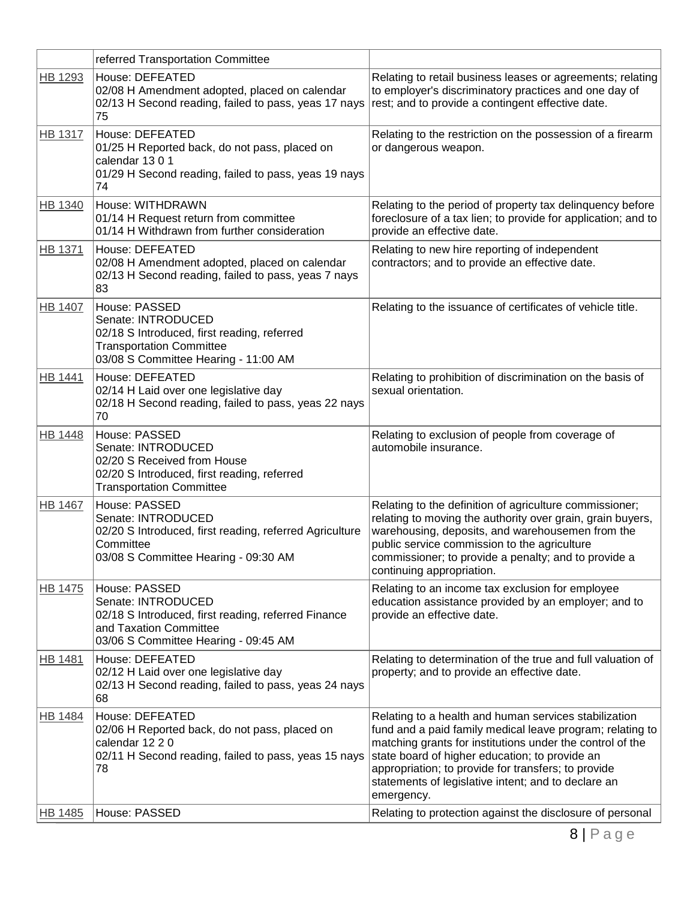|                | referred Transportation Committee                                                                                                                             |                                                                                                                                                                                                                                                                                                                                                               |
|----------------|---------------------------------------------------------------------------------------------------------------------------------------------------------------|---------------------------------------------------------------------------------------------------------------------------------------------------------------------------------------------------------------------------------------------------------------------------------------------------------------------------------------------------------------|
| HB 1293        | House: DEFEATED<br>02/08 H Amendment adopted, placed on calendar<br>02/13 H Second reading, failed to pass, yeas 17 nays<br>75                                | Relating to retail business leases or agreements; relating<br>to employer's discriminatory practices and one day of<br>rest; and to provide a contingent effective date.                                                                                                                                                                                      |
| <b>HB 1317</b> | House: DEFEATED<br>01/25 H Reported back, do not pass, placed on<br>calendar 1301<br>01/29 H Second reading, failed to pass, yeas 19 nays<br>74               | Relating to the restriction on the possession of a firearm<br>or dangerous weapon.                                                                                                                                                                                                                                                                            |
| HB 1340        | House: WITHDRAWN<br>01/14 H Request return from committee<br>01/14 H Withdrawn from further consideration                                                     | Relating to the period of property tax delinquency before<br>foreclosure of a tax lien; to provide for application; and to<br>provide an effective date.                                                                                                                                                                                                      |
| HB 1371        | House: DEFEATED<br>02/08 H Amendment adopted, placed on calendar<br>02/13 H Second reading, failed to pass, yeas 7 nays<br>83                                 | Relating to new hire reporting of independent<br>contractors; and to provide an effective date.                                                                                                                                                                                                                                                               |
| <b>HB 1407</b> | House: PASSED<br>Senate: INTRODUCED<br>02/18 S Introduced, first reading, referred<br><b>Transportation Committee</b><br>03/08 S Committee Hearing - 11:00 AM | Relating to the issuance of certificates of vehicle title.                                                                                                                                                                                                                                                                                                    |
| <b>HB 1441</b> | House: DEFEATED<br>02/14 H Laid over one legislative day<br>02/18 H Second reading, failed to pass, yeas 22 nays<br>70                                        | Relating to prohibition of discrimination on the basis of<br>sexual orientation.                                                                                                                                                                                                                                                                              |
| HB 1448        | House: PASSED<br>Senate: INTRODUCED<br>02/20 S Received from House<br>02/20 S Introduced, first reading, referred<br><b>Transportation Committee</b>          | Relating to exclusion of people from coverage of<br>automobile insurance.                                                                                                                                                                                                                                                                                     |
| <b>HB 1467</b> | House: PASSED<br>Senate: INTRODUCED<br>02/20 S Introduced, first reading, referred Agriculture<br>Committee<br>03/08 S Committee Hearing - 09:30 AM           | Relating to the definition of agriculture commissioner;<br>relating to moving the authority over grain, grain buyers,<br>warehousing, deposits, and warehousemen from the<br>public service commission to the agriculture<br>commissioner; to provide a penalty; and to provide a<br>continuing appropriation.                                                |
| <b>HB 1475</b> | House: PASSED<br>Senate: INTRODUCED<br>02/18 S Introduced, first reading, referred Finance<br>and Taxation Committee<br>03/06 S Committee Hearing - 09:45 AM  | Relating to an income tax exclusion for employee<br>education assistance provided by an employer; and to<br>provide an effective date.                                                                                                                                                                                                                        |
| HB 1481        | House: DEFEATED<br>02/12 H Laid over one legislative day<br>02/13 H Second reading, failed to pass, yeas 24 nays<br>68                                        | Relating to determination of the true and full valuation of<br>property; and to provide an effective date.                                                                                                                                                                                                                                                    |
| <b>HB 1484</b> | House: DEFEATED<br>02/06 H Reported back, do not pass, placed on<br>calendar 12 2 0<br>02/11 H Second reading, failed to pass, yeas 15 nays<br>78             | Relating to a health and human services stabilization<br>fund and a paid family medical leave program; relating to<br>matching grants for institutions under the control of the<br>state board of higher education; to provide an<br>appropriation; to provide for transfers; to provide<br>statements of legislative intent; and to declare an<br>emergency. |
| HB 1485        | House: PASSED                                                                                                                                                 | Relating to protection against the disclosure of personal                                                                                                                                                                                                                                                                                                     |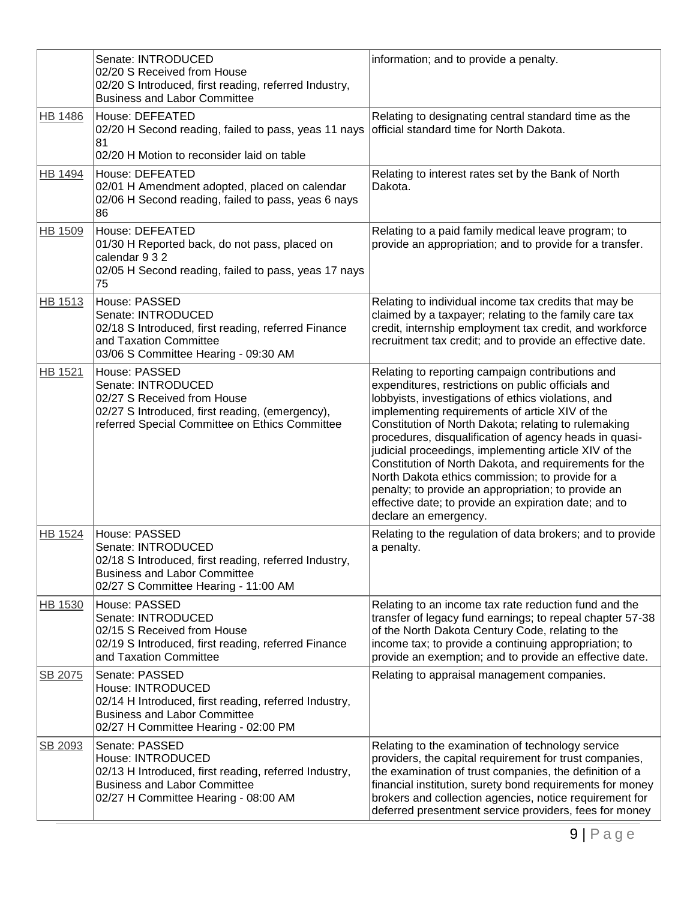|                | Senate: INTRODUCED<br>02/20 S Received from House<br>02/20 S Introduced, first reading, referred Industry,<br><b>Business and Labor Committee</b>                           | information; and to provide a penalty.                                                                                                                                                                                                                                                                                                                                                                                                                                                                                                                                                                                                             |
|----------------|-----------------------------------------------------------------------------------------------------------------------------------------------------------------------------|----------------------------------------------------------------------------------------------------------------------------------------------------------------------------------------------------------------------------------------------------------------------------------------------------------------------------------------------------------------------------------------------------------------------------------------------------------------------------------------------------------------------------------------------------------------------------------------------------------------------------------------------------|
| <b>HB 1486</b> | House: DEFEATED<br>02/20 H Second reading, failed to pass, yeas 11 nays<br>81<br>02/20 H Motion to reconsider laid on table                                                 | Relating to designating central standard time as the<br>official standard time for North Dakota.                                                                                                                                                                                                                                                                                                                                                                                                                                                                                                                                                   |
| HB 1494        | House: DEFEATED<br>02/01 H Amendment adopted, placed on calendar<br>02/06 H Second reading, failed to pass, yeas 6 nays<br>86                                               | Relating to interest rates set by the Bank of North<br>Dakota.                                                                                                                                                                                                                                                                                                                                                                                                                                                                                                                                                                                     |
| HB 1509        | House: DEFEATED<br>01/30 H Reported back, do not pass, placed on<br>calendar 9 3 2<br>02/05 H Second reading, failed to pass, yeas 17 nays<br>75                            | Relating to a paid family medical leave program; to<br>provide an appropriation; and to provide for a transfer.                                                                                                                                                                                                                                                                                                                                                                                                                                                                                                                                    |
| HB 1513        | House: PASSED<br>Senate: INTRODUCED<br>02/18 S Introduced, first reading, referred Finance<br>and Taxation Committee<br>03/06 S Committee Hearing - 09:30 AM                | Relating to individual income tax credits that may be<br>claimed by a taxpayer; relating to the family care tax<br>credit, internship employment tax credit, and workforce<br>recruitment tax credit; and to provide an effective date.                                                                                                                                                                                                                                                                                                                                                                                                            |
| HB 1521        | House: PASSED<br>Senate: INTRODUCED<br>02/27 S Received from House<br>02/27 S Introduced, first reading, (emergency),<br>referred Special Committee on Ethics Committee     | Relating to reporting campaign contributions and<br>expenditures, restrictions on public officials and<br>lobbyists, investigations of ethics violations, and<br>implementing requirements of article XIV of the<br>Constitution of North Dakota; relating to rulemaking<br>procedures, disqualification of agency heads in quasi-<br>judicial proceedings, implementing article XIV of the<br>Constitution of North Dakota, and requirements for the<br>North Dakota ethics commission; to provide for a<br>penalty; to provide an appropriation; to provide an<br>effective date; to provide an expiration date; and to<br>declare an emergency. |
| HB 1524        | House: PASSED<br>Senate: INTRODUCED<br>02/18 S Introduced, first reading, referred Industry,<br><b>Business and Labor Committee</b><br>02/27 S Committee Hearing - 11:00 AM | Relating to the regulation of data brokers; and to provide<br>a penalty.                                                                                                                                                                                                                                                                                                                                                                                                                                                                                                                                                                           |
| <b>HB 1530</b> | House: PASSED<br>Senate: INTRODUCED<br>02/15 S Received from House<br>02/19 S Introduced, first reading, referred Finance<br>and Taxation Committee                         | Relating to an income tax rate reduction fund and the<br>transfer of legacy fund earnings; to repeal chapter 57-38<br>of the North Dakota Century Code, relating to the<br>income tax; to provide a continuing appropriation; to<br>provide an exemption; and to provide an effective date.                                                                                                                                                                                                                                                                                                                                                        |
| SB 2075        | Senate: PASSED<br>House: INTRODUCED<br>02/14 H Introduced, first reading, referred Industry,<br><b>Business and Labor Committee</b><br>02/27 H Committee Hearing - 02:00 PM | Relating to appraisal management companies.                                                                                                                                                                                                                                                                                                                                                                                                                                                                                                                                                                                                        |
| SB 2093        | Senate: PASSED<br>House: INTRODUCED<br>02/13 H Introduced, first reading, referred Industry,<br><b>Business and Labor Committee</b><br>02/27 H Committee Hearing - 08:00 AM | Relating to the examination of technology service<br>providers, the capital requirement for trust companies,<br>the examination of trust companies, the definition of a<br>financial institution, surety bond requirements for money<br>brokers and collection agencies, notice requirement for<br>deferred presentment service providers, fees for money                                                                                                                                                                                                                                                                                          |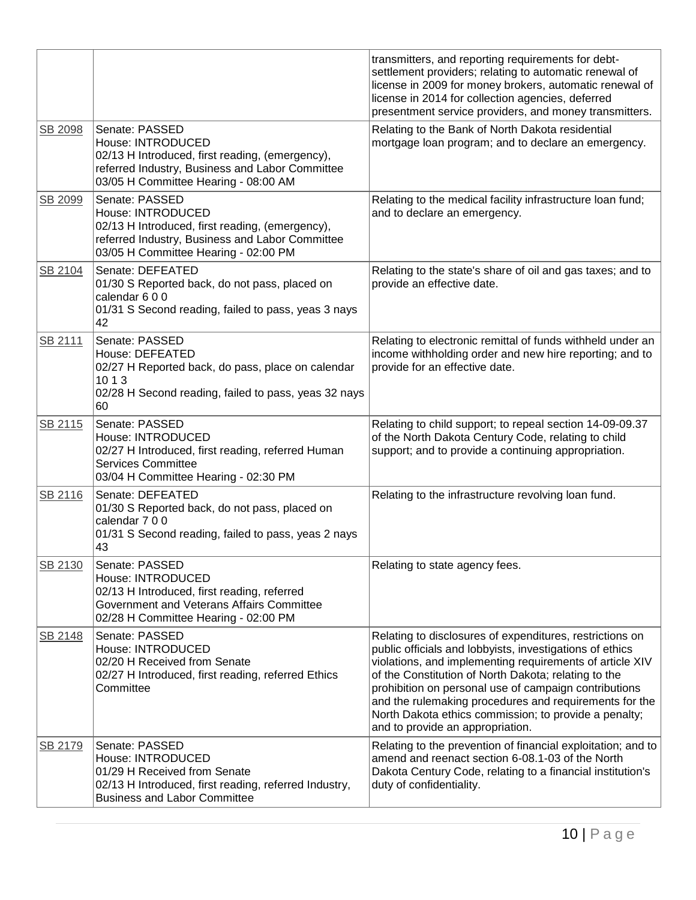|         |                                                                                                                                                                                   | transmitters, and reporting requirements for debt-<br>settlement providers; relating to automatic renewal of<br>license in 2009 for money brokers, automatic renewal of<br>license in 2014 for collection agencies, deferred<br>presentment service providers, and money transmitters.                                                                                                                                                                   |
|---------|-----------------------------------------------------------------------------------------------------------------------------------------------------------------------------------|----------------------------------------------------------------------------------------------------------------------------------------------------------------------------------------------------------------------------------------------------------------------------------------------------------------------------------------------------------------------------------------------------------------------------------------------------------|
| SB 2098 | Senate: PASSED<br>House: INTRODUCED<br>02/13 H Introduced, first reading, (emergency),<br>referred Industry, Business and Labor Committee<br>03/05 H Committee Hearing - 08:00 AM | Relating to the Bank of North Dakota residential<br>mortgage loan program; and to declare an emergency.                                                                                                                                                                                                                                                                                                                                                  |
| SB 2099 | Senate: PASSED<br>House: INTRODUCED<br>02/13 H Introduced, first reading, (emergency),<br>referred Industry, Business and Labor Committee<br>03/05 H Committee Hearing - 02:00 PM | Relating to the medical facility infrastructure loan fund;<br>and to declare an emergency.                                                                                                                                                                                                                                                                                                                                                               |
| SB 2104 | Senate: DEFEATED<br>01/30 S Reported back, do not pass, placed on<br>calendar 6 0 0<br>01/31 S Second reading, failed to pass, yeas 3 nays<br>42                                  | Relating to the state's share of oil and gas taxes; and to<br>provide an effective date.                                                                                                                                                                                                                                                                                                                                                                 |
| SB 2111 | Senate: PASSED<br>House: DEFEATED<br>02/27 H Reported back, do pass, place on calendar<br>10 1 3<br>02/28 H Second reading, failed to pass, yeas 32 nays<br>60                    | Relating to electronic remittal of funds withheld under an<br>income withholding order and new hire reporting; and to<br>provide for an effective date.                                                                                                                                                                                                                                                                                                  |
| SB 2115 | Senate: PASSED<br>House: INTRODUCED<br>02/27 H Introduced, first reading, referred Human<br><b>Services Committee</b><br>03/04 H Committee Hearing - 02:30 PM                     | Relating to child support; to repeal section 14-09-09.37<br>of the North Dakota Century Code, relating to child<br>support; and to provide a continuing appropriation.                                                                                                                                                                                                                                                                                   |
| SB 2116 | Senate: DEFEATED<br>01/30 S Reported back, do not pass, placed on<br>calendar 7 0 0<br>01/31 S Second reading, failed to pass, yeas 2 nays<br>43                                  | Relating to the infrastructure revolving loan fund.                                                                                                                                                                                                                                                                                                                                                                                                      |
| SB 2130 | Senate: PASSED<br>House: INTRODUCED<br>02/13 H Introduced, first reading, referred<br>Government and Veterans Affairs Committee<br>02/28 H Committee Hearing - 02:00 PM           | Relating to state agency fees.                                                                                                                                                                                                                                                                                                                                                                                                                           |
| SB 2148 | Senate: PASSED<br>House: INTRODUCED<br>02/20 H Received from Senate<br>02/27 H Introduced, first reading, referred Ethics<br>Committee                                            | Relating to disclosures of expenditures, restrictions on<br>public officials and lobbyists, investigations of ethics<br>violations, and implementing requirements of article XIV<br>of the Constitution of North Dakota; relating to the<br>prohibition on personal use of campaign contributions<br>and the rulemaking procedures and requirements for the<br>North Dakota ethics commission; to provide a penalty;<br>and to provide an appropriation. |
| SB 2179 | Senate: PASSED<br>House: INTRODUCED<br>01/29 H Received from Senate<br>02/13 H Introduced, first reading, referred Industry,<br><b>Business and Labor Committee</b>               | Relating to the prevention of financial exploitation; and to<br>amend and reenact section 6-08.1-03 of the North<br>Dakota Century Code, relating to a financial institution's<br>duty of confidentiality.                                                                                                                                                                                                                                               |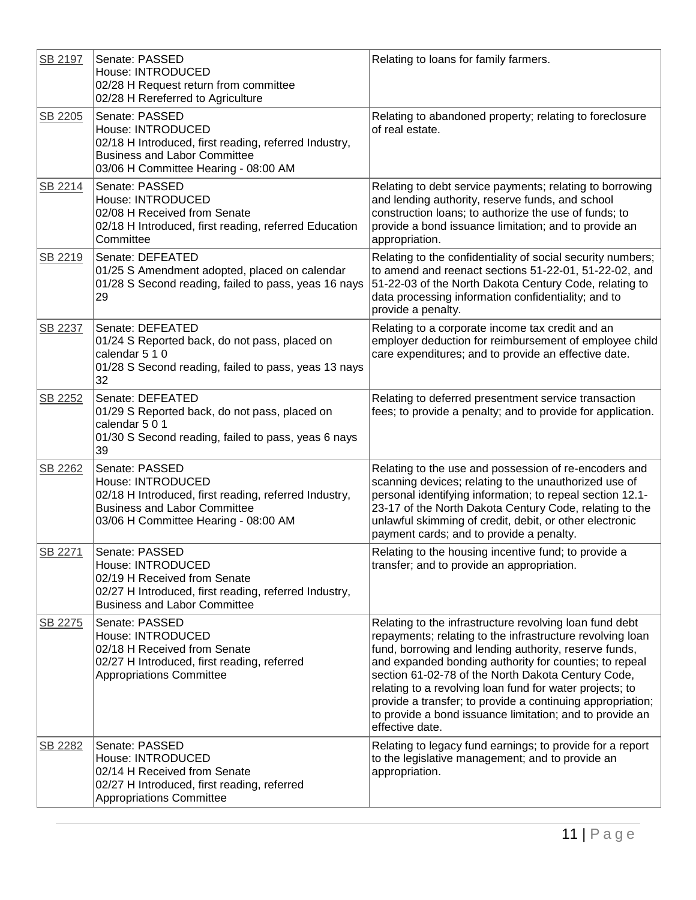| SB 2197 | Senate: PASSED<br>House: INTRODUCED<br>02/28 H Request return from committee<br>02/28 H Rereferred to Agriculture                                                           | Relating to loans for family farmers.                                                                                                                                                                                                                                                                                                                                                                                                                                                                  |
|---------|-----------------------------------------------------------------------------------------------------------------------------------------------------------------------------|--------------------------------------------------------------------------------------------------------------------------------------------------------------------------------------------------------------------------------------------------------------------------------------------------------------------------------------------------------------------------------------------------------------------------------------------------------------------------------------------------------|
| SB 2205 | Senate: PASSED<br>House: INTRODUCED<br>02/18 H Introduced, first reading, referred Industry,<br><b>Business and Labor Committee</b><br>03/06 H Committee Hearing - 08:00 AM | Relating to abandoned property; relating to foreclosure<br>of real estate.                                                                                                                                                                                                                                                                                                                                                                                                                             |
| SB 2214 | Senate: PASSED<br>House: INTRODUCED<br>02/08 H Received from Senate<br>02/18 H Introduced, first reading, referred Education<br>Committee                                   | Relating to debt service payments; relating to borrowing<br>and lending authority, reserve funds, and school<br>construction loans; to authorize the use of funds; to<br>provide a bond issuance limitation; and to provide an<br>appropriation.                                                                                                                                                                                                                                                       |
| SB 2219 | Senate: DEFEATED<br>01/25 S Amendment adopted, placed on calendar<br>01/28 S Second reading, failed to pass, yeas 16 nays<br>29                                             | Relating to the confidentiality of social security numbers;<br>to amend and reenact sections 51-22-01, 51-22-02, and<br>51-22-03 of the North Dakota Century Code, relating to<br>data processing information confidentiality; and to<br>provide a penalty.                                                                                                                                                                                                                                            |
| SB 2237 | Senate: DEFEATED<br>01/24 S Reported back, do not pass, placed on<br>calendar 5 1 0<br>01/28 S Second reading, failed to pass, yeas 13 nays<br>32                           | Relating to a corporate income tax credit and an<br>employer deduction for reimbursement of employee child<br>care expenditures; and to provide an effective date.                                                                                                                                                                                                                                                                                                                                     |
| SB 2252 | Senate: DEFEATED<br>01/29 S Reported back, do not pass, placed on<br>calendar 501<br>01/30 S Second reading, failed to pass, yeas 6 nays<br>39                              | Relating to deferred presentment service transaction<br>fees; to provide a penalty; and to provide for application.                                                                                                                                                                                                                                                                                                                                                                                    |
| SB 2262 | Senate: PASSED<br>House: INTRODUCED<br>02/18 H Introduced, first reading, referred Industry,<br><b>Business and Labor Committee</b><br>03/06 H Committee Hearing - 08:00 AM | Relating to the use and possession of re-encoders and<br>scanning devices; relating to the unauthorized use of<br>personal identifying information; to repeal section 12.1-<br>23-17 of the North Dakota Century Code, relating to the<br>unlawful skimming of credit, debit, or other electronic<br>payment cards; and to provide a penalty.                                                                                                                                                          |
| SB 2271 | Senate: PASSED<br>House: INTRODUCED<br>02/19 H Received from Senate<br>02/27 H Introduced, first reading, referred Industry,<br><b>Business and Labor Committee</b>         | Relating to the housing incentive fund; to provide a<br>transfer; and to provide an appropriation.                                                                                                                                                                                                                                                                                                                                                                                                     |
| SB 2275 | Senate: PASSED<br>House: INTRODUCED<br>02/18 H Received from Senate<br>02/27 H Introduced, first reading, referred<br><b>Appropriations Committee</b>                       | Relating to the infrastructure revolving loan fund debt<br>repayments; relating to the infrastructure revolving loan<br>fund, borrowing and lending authority, reserve funds,<br>and expanded bonding authority for counties; to repeal<br>section 61-02-78 of the North Dakota Century Code,<br>relating to a revolving loan fund for water projects; to<br>provide a transfer; to provide a continuing appropriation;<br>to provide a bond issuance limitation; and to provide an<br>effective date. |
| SB 2282 | Senate: PASSED<br>House: INTRODUCED<br>02/14 H Received from Senate<br>02/27 H Introduced, first reading, referred<br><b>Appropriations Committee</b>                       | Relating to legacy fund earnings; to provide for a report<br>to the legislative management; and to provide an<br>appropriation.                                                                                                                                                                                                                                                                                                                                                                        |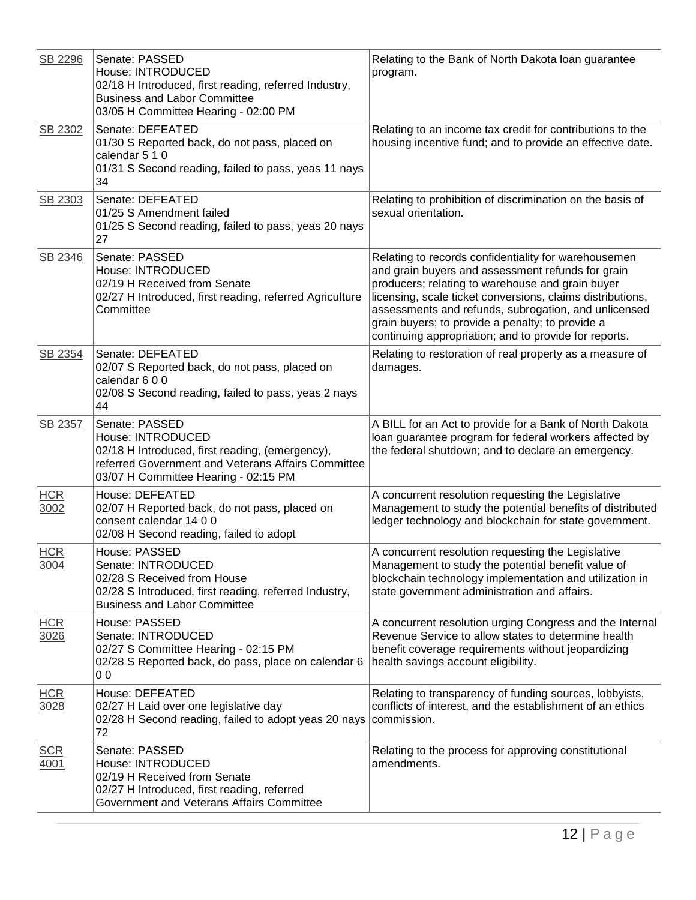| SB 2296            | Senate: PASSED<br>House: INTRODUCED<br>02/18 H Introduced, first reading, referred Industry,<br><b>Business and Labor Committee</b><br>03/05 H Committee Hearing - 02:00 PM          | Relating to the Bank of North Dakota loan guarantee<br>program.                                                                                                                                                                                                                                                                                                                                  |
|--------------------|--------------------------------------------------------------------------------------------------------------------------------------------------------------------------------------|--------------------------------------------------------------------------------------------------------------------------------------------------------------------------------------------------------------------------------------------------------------------------------------------------------------------------------------------------------------------------------------------------|
| SB 2302            | Senate: DEFEATED<br>01/30 S Reported back, do not pass, placed on<br>calendar 5 1 0<br>01/31 S Second reading, failed to pass, yeas 11 nays<br>34                                    | Relating to an income tax credit for contributions to the<br>housing incentive fund; and to provide an effective date.                                                                                                                                                                                                                                                                           |
| SB 2303            | Senate: DEFEATED<br>01/25 S Amendment failed<br>01/25 S Second reading, failed to pass, yeas 20 nays<br>27                                                                           | Relating to prohibition of discrimination on the basis of<br>sexual orientation.                                                                                                                                                                                                                                                                                                                 |
| SB 2346            | Senate: PASSED<br>House: INTRODUCED<br>02/19 H Received from Senate<br>02/27 H Introduced, first reading, referred Agriculture<br>Committee                                          | Relating to records confidentiality for warehousemen<br>and grain buyers and assessment refunds for grain<br>producers; relating to warehouse and grain buyer<br>licensing, scale ticket conversions, claims distributions,<br>assessments and refunds, subrogation, and unlicensed<br>grain buyers; to provide a penalty; to provide a<br>continuing appropriation; and to provide for reports. |
| SB 2354            | Senate: DEFEATED<br>02/07 S Reported back, do not pass, placed on<br>calendar 600<br>02/08 S Second reading, failed to pass, yeas 2 nays<br>44                                       | Relating to restoration of real property as a measure of<br>damages.                                                                                                                                                                                                                                                                                                                             |
| SB 2357            | Senate: PASSED<br>House: INTRODUCED<br>02/18 H Introduced, first reading, (emergency),<br>referred Government and Veterans Affairs Committee<br>03/07 H Committee Hearing - 02:15 PM | A BILL for an Act to provide for a Bank of North Dakota<br>loan guarantee program for federal workers affected by<br>the federal shutdown; and to declare an emergency.                                                                                                                                                                                                                          |
| <b>HCR</b><br>3002 | House: DEFEATED<br>02/07 H Reported back, do not pass, placed on<br>consent calendar 14 0 0<br>02/08 H Second reading, failed to adopt                                               | A concurrent resolution requesting the Legislative<br>Management to study the potential benefits of distributed<br>ledger technology and blockchain for state government.                                                                                                                                                                                                                        |
| <b>HCR</b><br>3004 | House: PASSED<br>Senate: INTRODUCED<br>02/28 S Received from House<br>02/28 S Introduced, first reading, referred Industry,<br><b>Business and Labor Committee</b>                   | A concurrent resolution requesting the Legislative<br>Management to study the potential benefit value of<br>blockchain technology implementation and utilization in<br>state government administration and affairs.                                                                                                                                                                              |
| <b>HCR</b><br>3026 | House: PASSED<br>Senate: INTRODUCED<br>02/27 S Committee Hearing - 02:15 PM<br>02/28 S Reported back, do pass, place on calendar 6<br>0 <sub>0</sub>                                 | A concurrent resolution urging Congress and the Internal<br>Revenue Service to allow states to determine health<br>benefit coverage requirements without jeopardizing<br>health savings account eligibility.                                                                                                                                                                                     |
| <b>HCR</b><br>3028 | House: DEFEATED<br>02/27 H Laid over one legislative day<br>02/28 H Second reading, failed to adopt yeas 20 nays<br>72                                                               | Relating to transparency of funding sources, lobbyists,<br>conflicts of interest, and the establishment of an ethics<br>commission.                                                                                                                                                                                                                                                              |
| <b>SCR</b><br>4001 | Senate: PASSED<br>House: INTRODUCED<br>02/19 H Received from Senate<br>02/27 H Introduced, first reading, referred<br>Government and Veterans Affairs Committee                      | Relating to the process for approving constitutional<br>amendments.                                                                                                                                                                                                                                                                                                                              |